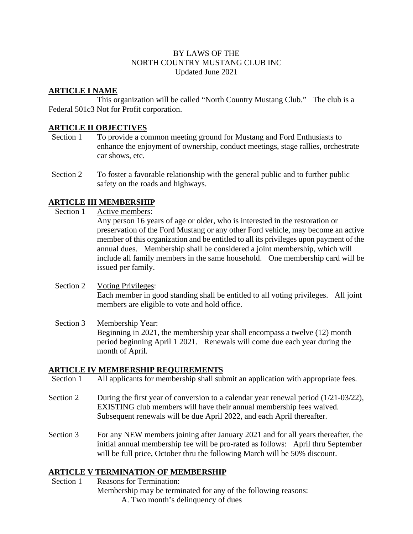### BY LAWS OF THE NORTH COUNTRY MUSTANG CLUB INC Updated June 2021

# **ARTICLE I NAME**

This organization will be called "North Country Mustang Club." The club is a Federal 501c3 Not for Profit corporation.

# **ARTICLE II OBJECTIVES**

- Section 1 To provide a common meeting ground for Mustang and Ford Enthusiasts to enhance the enjoyment of ownership, conduct meetings, stage rallies, orchestrate car shows, etc.
- Section 2 To foster a favorable relationship with the general public and to further public safety on the roads and highways.

# **ARTICLE III MEMBERSHIP**

- Section 1 Active members: Any person 16 years of age or older, who is interested in the restoration or preservation of the Ford Mustang or any other Ford vehicle, may become an active member of this organization and be entitled to all its privileges upon payment of the annual dues. Membership shall be considered a joint membership, which will include all family members in the same household. One membership card will be issued per family.
- Section 2 Voting Privileges: Each member in good standing shall be entitled to all voting privileges. All joint members are eligible to vote and hold office.
- Section 3 Membership Year: Beginning in 2021, the membership year shall encompass a twelve (12) month period beginning April 1 2021. Renewals will come due each year during the month of April.

## **ARTICLE IV MEMBERSHIP REQUIREMENTS**

- Section 1 All applicants for membership shall submit an application with appropriate fees.
- Section 2 During the first year of conversion to a calendar year renewal period (1/21-03/22), EXISTING club members will have their annual membership fees waived. Subsequent renewals will be due April 2022, and each April thereafter.
- Section 3 For any NEW members joining after January 2021 and for all years thereafter, the initial annual membership fee will be pro-rated as follows: April thru September will be full price, October thru the following March will be 50% discount.

## **ARTICLE V TERMINATION OF MEMBERSHIP**

Section 1 Reasons for Termination: Membership may be terminated for any of the following reasons: A. Two month's delinquency of dues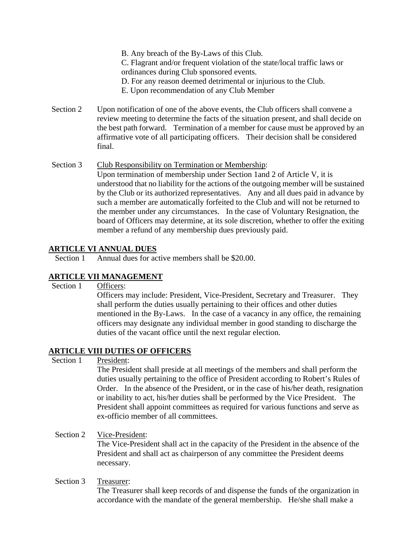B. Any breach of the By-Laws of this Club. C. Flagrant and/or frequent violation of the state/local traffic laws or ordinances during Club sponsored events. D. For any reason deemed detrimental or injurious to the Club. E. Upon recommendation of any Club Member

- Section 2 Upon notification of one of the above events, the Club officers shall convene a review meeting to determine the facts of the situation present, and shall decide on the best path forward. Termination of a member for cause must be approved by an affirmative vote of all participating officers. Their decision shall be considered final.
- Section 3 Club Responsibility on Termination or Membership: Upon termination of membership under Section 1and 2 of Article V, it is understood that no liability for the actions of the outgoing member will be sustained by the Club or its authorized representatives. Any and all dues paid in advance by such a member are automatically forfeited to the Club and will not be returned to the member under any circumstances. In the case of Voluntary Resignation, the board of Officers may determine, at its sole discretion, whether to offer the exiting member a refund of any membership dues previously paid.

## **ARTICLE VI ANNUAL DUES**

Section 1 Annual dues for active members shall be \$20,00.

# **ARTICLE VII MANAGEMENT**

Section 1 Officers:

Officers may include: President, Vice-President, Secretary and Treasurer. They shall perform the duties usually pertaining to their offices and other duties mentioned in the By-Laws. In the case of a vacancy in any office, the remaining officers may designate any individual member in good standing to discharge the duties of the vacant office until the next regular election.

## **ARTICLE VIII DUTIES OF OFFICERS**

Section 1 President:

The President shall preside at all meetings of the members and shall perform the duties usually pertaining to the office of President according to Robert's Rules of Order. In the absence of the President, or in the case of his/her death, resignation or inability to act, his/her duties shall be performed by the Vice President. The President shall appoint committees as required for various functions and serve as ex-officio member of all committees.

## Section 2 Vice-President:

The Vice-President shall act in the capacity of the President in the absence of the President and shall act as chairperson of any committee the President deems necessary.

#### Section 3 Treasurer:

The Treasurer shall keep records of and dispense the funds of the organization in accordance with the mandate of the general membership. He/she shall make a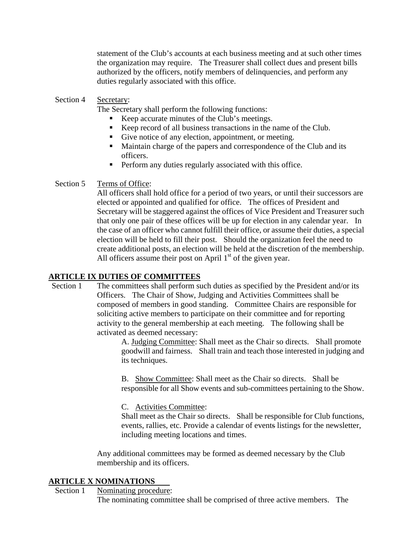statement of the Club's accounts at each business meeting and at such other times the organization may require. The Treasurer shall collect dues and present bills authorized by the officers, notify members of delinquencies, and perform any duties regularly associated with this office.

#### Section 4 Secretary:

The Secretary shall perform the following functions:

- Keep accurate minutes of the Club's meetings.
- Keep record of all business transactions in the name of the Club.
- Give notice of any election, appointment, or meeting.
- Maintain charge of the papers and correspondence of the Club and its officers.
- **Perform any duties regularly associated with this office.**

### Section 5 Terms of Office:

All officers shall hold office for a period of two years, or until their successors are elected or appointed and qualified for office. The offices of President and Secretary will be staggered against the offices of Vice President and Treasurer such that only one pair of these offices will be up for election in any calendar year. In the case of an officer who cannot fulfill their office, or assume their duties, a special election will be held to fill their post. Should the organization feel the need to create additional posts, an election will be held at the discretion of the membership. All officers assume their post on April  $1<sup>st</sup>$  of the given year.

#### **ARTICLE IX DUTIES OF COMMITTEES**

Section 1 The committees shall perform such duties as specified by the President and/or its Officers. The Chair of Show, Judging and Activities Committees shall be composed of members in good standing. Committee Chairs are responsible for soliciting active members to participate on their committee and for reporting activity to the general membership at each meeting. The following shall be activated as deemed necessary:

A. Judging Committee: Shall meet as the Chair so directs. Shall promote goodwill and fairness. Shall train and teach those interested in judging and its techniques.

B. Show Committee: Shall meet as the Chair so directs. Shall be responsible for all Show events and sub-committees pertaining to the Show.

#### C. Activities Committee:

Shall meet as the Chair so directs. Shall be responsible for Club functions, events, rallies, etc. Provide a calendar of events listings for the newsletter, including meeting locations and times.

Any additional committees may be formed as deemed necessary by the Club membership and its officers.

#### **ARTICLE X NOMINATIONS**

Section 1 Nominating procedure:

The nominating committee shall be comprised of three active members. The